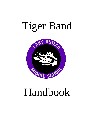# Tiger Band



## Handbook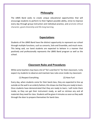#### **Philosophy**

The LBMS Band seeks to create unique educational opportunities that will encourage students to perform to their highest possible ability, strive to improve every day through group instruction and individual practice, and promote ethical character, good citizenship and life-long learning.

### **Expectations**

Students of the LBMS Band have the distinct opportunity to represent our school through multiple functions, such as concerts, Solo and Ensemble, and much more. This being said, our band students are expected to behave in a manner that positively and professionally represents the LBMS Band program as well as the school.

## **Classroom Rules and Procedures**

While some teachers may have a list of "Do's and Don'ts" for their classroom, I only expect my students to observe and maintain two rules once inside my classroom:

(1) Respect Everything (2) Have Fun!

Every day, when students come for their band class, they are expected to line up outside on the wall in an orderly fashion; this shows me that they are ready to learn. Once students have demonstrated that they are ready to learn, I will invite them inside, so they can get their instrument ready, as well as retrieve any and all materials they need for class. Students will be given 4 minutes as soon as they walk through the door to prepare themselves for band class.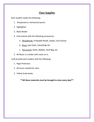## **Class Supplies**

Each student needs the following:

- 1. Sharpened or mechanical pencil.
- 2. Highlighter
- 3. Black Binder
- 4. Instruments with the following accessories:
	- a. Woodwinds: 4 Playable Reeds, Swabs, Cork Grease
	- b. Brass: Spit Cloth, Valve/Slide Oil
	- c. Percussion: Sticks, Mallets, Stick Bag, etc.
- 5. All Music in a folder with name on it.

I will provide each student with the following:

- 1. Page Protectors
- 2. All music needed for class
- 3. Yellow Scale books

**\*\*All these materials must be brought to class every day!\*\***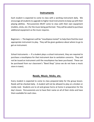#### **Instruments**

Each student is expected to come to class with a working instrument daily. We encourage all students to upgrade to higher-level instruments to keep up with their playing abilities. Percussionists MUST come to class with their own equipment (mallets, sticks, etc.) for the music being performed. They will be asked to purchase additional equipment as the music requires.

Beginners — The beginners will be "mouthpiece tested" to help them find the most appropriate instrument to play. They will be given guidance about where to go to get an instrument.

School Instruments — If a student plays a school instrument, they are required to purchase a mouthpiece for that instrument due to sanitation concerns. They will not be issued an instrument until the mouthpiece has been purchased. These can be purchased from our classroom's "Band Shop" (since we do not have a music store in town).

#### **Reeds, Music, Sticks, etc.**

Every student is expected to come to class prepared daily for the group lesson. Reeds will be checked daily. A student will not be allowed to play on a broken or moldy reed. Students are to oil and grease horns at home in preparation for the day's lesson. Percussionists are to have their name on all of their sticks and have them available for each class.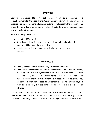#### **Homework**

Each student is expected to practice at home at least 5 of 7 days of the week. This is the homework for the class. If the student has difficulty with the bus or needs a practice instrument at home, please contact me to help resolve the problem. The amount of **individual** practice time is the largest factor between an average player and an outstanding player.

Here are a few practice tips:

- Listen to LOTS of music
- Record yourself playing your instrument, listen to it, and evaluate it. Students will be taught how to do this.
- Practice the music at a tempo that will allow you to play the music correctly.

## **Rehearsals**

- ❖ The beginning band will not have any after school rehearsals.
- ❖ The Concert and Symphonic bands will have sectional rehearsals on Tuesday (Concert) and Thursday (Symphonic) from 3:05 – 4:30 as needed. These rehearsals are graded as supervised homework and are required. The students will be informed of the rehearsals at least 1 week in advance. They will start in **November**. Please do not schedule conflicts on these days. If your child is absent, they are considered unexcused if it is not cleared in advance.

If your child is in an LBMS sport, cheerleader, or AG function and has a conflict, please have them talk with me about the conflict ahead of time, this way I can help them with it. Missing a rehearsal without prior arrangements will be unexcused.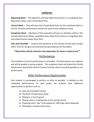## **Uniforms**

*Beginning Band* **—** The beginners will wear Black Dress Pants or a Long Black skirt, Black dress shoes, and a Purple Band Polo.

*Concert Band* — They will wear their Purple Band Polos for the combined Game in the fall. All other performance will be the same as the symphonic band.

*Symphonic Band* — Members of this ensemble will wear an all-black uniform. This includes Black Dress Shoes, Long Black Socks, Black Dress Pants or a Long Black skirt, and a Black Button-down Dress Shirt.

*Solo and Ensemble* — Anyone who performs at this festival should wear Sunday attire. (Ties for the guys and dresses/nice pants/blouse for the ladies)

**\*\*Band Polos will be ordered in late September for those in need of one\*\***

## Performances

The schedule of concert performances is provided. All performances are required and will be graded as group projects. The symphonic band will attend the Florida Bandmasters Association District Concert Festival, where we will be graded on our performance.

## Other Performance Opportunities

Each student is encouraged to perform as often as possible. In addition to the scheduled performances for each grade, the students have additional opportunities to perform such as:

- Solo and Ensemble Festival
- The North Florida Honor Band
- Playing in a church group
- Playing solos or small groups on the spring concert
- Preparing short "ads" to be played on TNN (Tiger News Network)
- Attending a summer band camp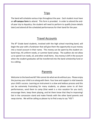## Trips

The band will schedule various trips throughout the year. Each student must have an **off-campus form** to attend. This form is provided. In order to attend the endof-year trip to Aquatica, the student will need to perform to qualify (more details later) and attend all the scheduled performances for their band for the year.

## Travel Accounts

The 8<sup>th</sup> Grade band students, involved with the high school marching band, will begin the year with a fundraiser that will give them the opportunity to put money into a travel account in their name. This money can be spent by the student on: band trips, HS uniform needs, or summer band camps. The auditors do not allow us to spend it on reeds, oil, and other small items. Any money is left in the account when the student graduates will be transferred into the band scholarship fund or to a sibling.

## Parents

Welcome to the band world!! We cannot do what we do without you. Please enjoy the journey your child is on along with them. Your love and support is vital towards your child's success. Learning an instrument is a slow and tedious process and this can be extremely frustrating for many students, so please come to all their performances, send them to camp (that week is a nice vacation for you too!), encourage them, keep them playing, and let them know that they're improving! Get in the concession stand and make friends with the other band parents and swap stories. We will be calling so please try to find a way to say "YES"!